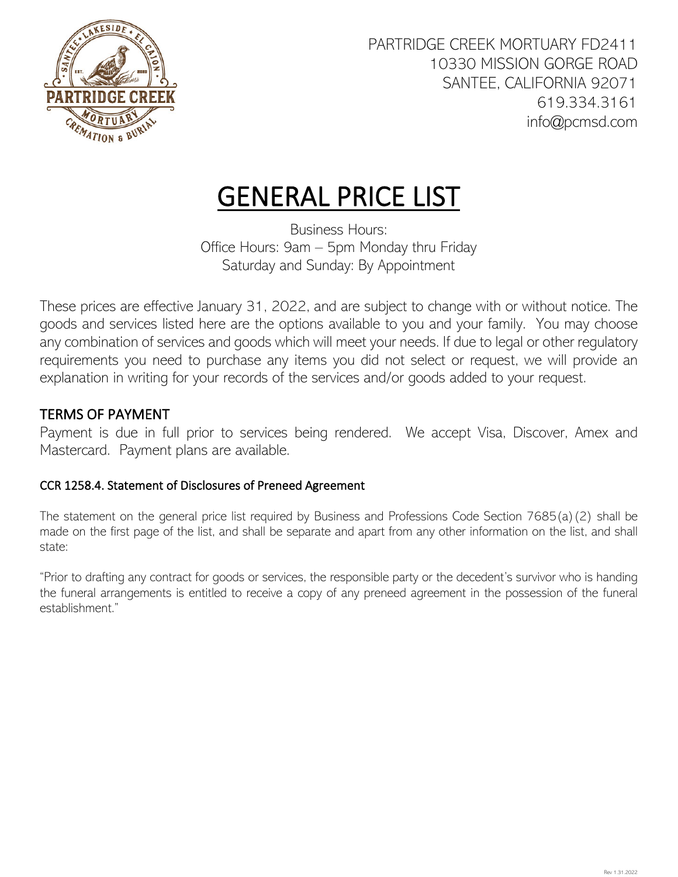

## GENERAL PRICE LIST

Business Hours: Office Hours: 9am – 5pm Monday thru Friday Saturday and Sunday: By Appointment

These prices are effective January 31, 2022, and are subject to change with or without notice. The goods and services listed here are the options available to you and your family. You may choose any combination of services and goods which will meet your needs. If due to legal or other regulatory requirements you need to purchase any items you did not select or request, we will provide an explanation in writing for your records of the services and/or goods added to your request.

### TERMS OF PAYMENT

Payment is due in full prior to services being rendered. We accept Visa, Discover, Amex and Mastercard. Payment plans are available.

### CCR 1258.4. Statement of Disclosures of Preneed Agreement

The statement on the general price list required by Business and Professions Code Section 7685(a)(2) shall be made on the first page of the list, and shall be separate and apart from any other information on the list, and shall state:

"Prior to drafting any contract for goods or services, the responsible party or the decedent's survivor who is handing the funeral arrangements is entitled to receive a copy of any preneed agreement in the possession of the funeral establishment."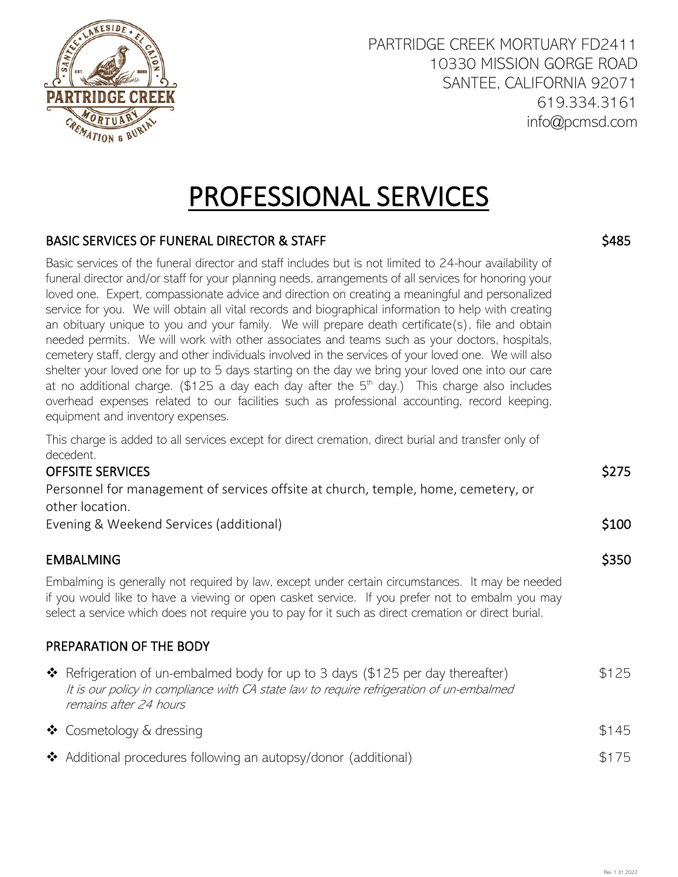

## PROFESSIONAL SERVICES

#### BASIC SERVICES OF FUNERAL DIRECTOR & STAFF

Basic services of the funeral director and staff includes but is not limited to 24-hour availability of funeral director and/or staff for your planning needs, arrangements of all services for honoring your loved one. Expert, compassionate advice and direction on creating a meaningful and personalized service for you. We will obtain all vital records and biographical information to help with creating an obituary unique to you and your family. We will prepare death certificate(s), file and obtain needed permits. We will work with other associates and teams such as your doctors, hospitals, cemetery staff, clergy and other individuals involved in the services of your loved one. We will also shelter your loved one for up to 5 days starting on the day we bring your loved one into our care at no additional charge. (\$125 a day each day after the  $5<sup>th</sup>$  day.) This charge also includes overhead expenses related to our facilities such as professional accounting, record keeping, equipment and inventory expenses.

This charge is added to all services except for direct cremation, direct burial and transfer only of decedent.

### OFFSITE SERVICES

| Personnel for management of services offsite at church, temple, home, cemetery, or |                  |
|------------------------------------------------------------------------------------|------------------|
| other location.                                                                    |                  |
| Evening & Weekend Services (additional)                                            | S <sub>100</sub> |

#### EMBALMING

Embalming is generally not required by law, except under certain circumstances. It may be needed if you would like to have a viewing or open casket service. If you prefer not to embalm you may select a service which does not require you to pay for it such as direct cremation or direct burial.

### PREPARATION OF THE BODY

| ❖ Refrigeration of un-embalmed body for up to 3 days (\$125 per day thereafter)<br>It is our policy in compliance with CA state law to require refrigeration of un-embalmed<br>remains after 24 hours | \$125 |
|-------------------------------------------------------------------------------------------------------------------------------------------------------------------------------------------------------|-------|
| ❖ Cosmetology & dressing                                                                                                                                                                              | \$145 |
| ❖ Additional procedures following an autopsy/donor (additional)                                                                                                                                       | \$175 |

\$485

\$275

\$350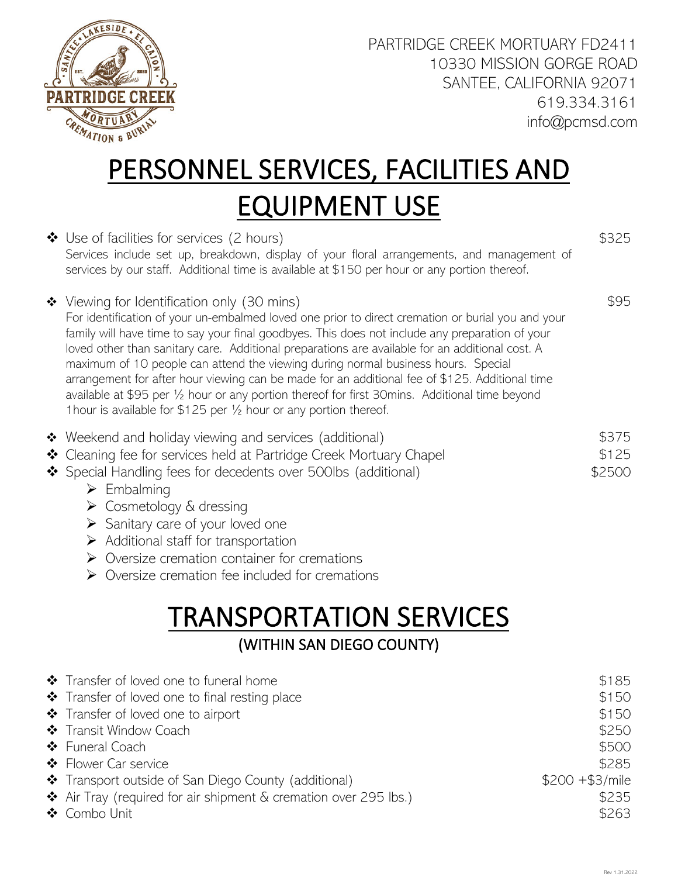

# PERSONNEL SERVICES, FACILITIES AND EQUIPMENT USE

|   | $\clubsuit$ Use of facilities for services (2 hours)<br>Services include set up, breakdown, display of your floral arrangements, and management of<br>services by our staff. Additional time is available at \$150 per hour or any portion thereof.                                                                                                                                                                                                                                                                                                                                                                                                                                                                              | \$325                                                                                    |
|---|----------------------------------------------------------------------------------------------------------------------------------------------------------------------------------------------------------------------------------------------------------------------------------------------------------------------------------------------------------------------------------------------------------------------------------------------------------------------------------------------------------------------------------------------------------------------------------------------------------------------------------------------------------------------------------------------------------------------------------|------------------------------------------------------------------------------------------|
|   | ❖ Viewing for Identification only (30 mins)<br>For identification of your un-embalmed loved one prior to direct cremation or burial you and your<br>family will have time to say your final goodbyes. This does not include any preparation of your<br>loved other than sanitary care. Additional preparations are available for an additional cost. A<br>maximum of 10 people can attend the viewing during normal business hours. Special<br>arrangement for after hour viewing can be made for an additional fee of \$125. Additional time<br>available at \$95 per 1/2 hour or any portion thereof for first 30mins. Additional time beyond<br>1 hour is available for $$125$ per $\frac{1}{2}$ hour or any portion thereof. | \$95                                                                                     |
|   | ❖ Weekend and holiday viewing and services (additional)<br>❖ Cleaning fee for services held at Partridge Creek Mortuary Chapel<br>❖ Special Handling fees for decedents over 500lbs (additional)<br>$\triangleright$ Embalming<br>$\triangleright$ Cosmetology & dressing<br>$\triangleright$ Sanitary care of your loved one<br>$\triangleright$ Additional staff for transportation<br>$\triangleright$ Oversize cremation container for cremations<br>$\triangleright$ Oversize cremation fee included for cremations                                                                                                                                                                                                         | \$375<br>\$125<br>\$2500                                                                 |
|   | <b>TRANSPORTATION SERVICES</b><br>(WITHIN SAN DIEGO COUNTY)                                                                                                                                                                                                                                                                                                                                                                                                                                                                                                                                                                                                                                                                      |                                                                                          |
| ❖ | ❖ Transfer of loved one to funeral home<br>❖ Transfer of loved one to final resting place<br>❖ Transfer of loved one to airport<br>Transit Window Coach<br>❖ Funeral Coach<br>❖ Flower Car service<br>* Transport outside of San Diego County (additional)<br>$\clubsuit$ Air Tray (required for air shipment & cremation over 295 lbs.)<br>❖ Combo Unit                                                                                                                                                                                                                                                                                                                                                                         | \$185<br>\$150<br>\$150<br>\$250<br>\$500<br>\$285<br>$$200 + $3/mile$<br>\$235<br>\$263 |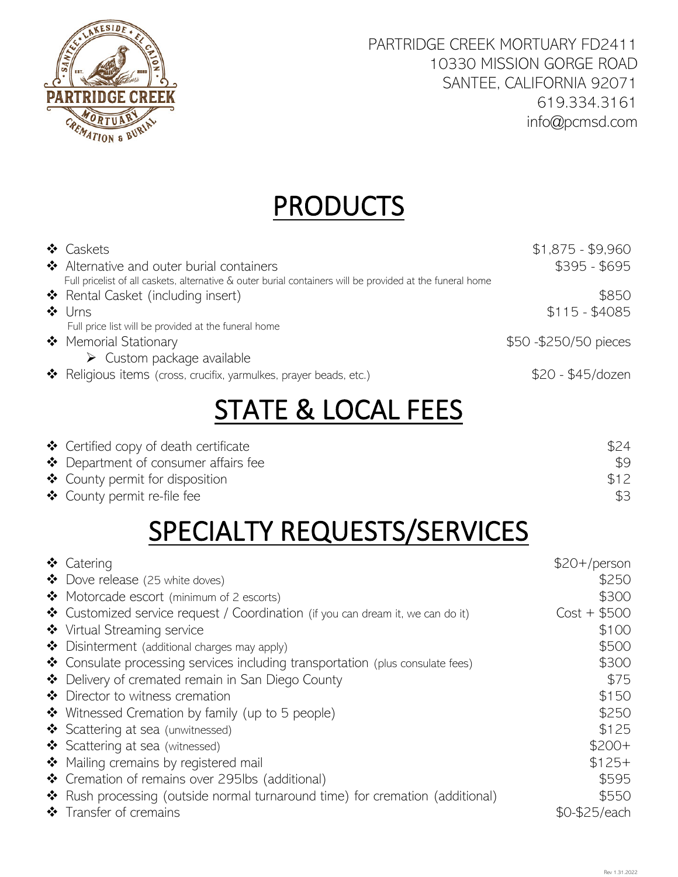

## **PRODUCTS**

| ❖ Caskets<br>❖ Alternative and outer burial containers<br>Full pricelist of all caskets, alternative & outer burial containers will be provided at the funeral home | $$1,875 - $9,960$<br>\$395 - \$695 |
|---------------------------------------------------------------------------------------------------------------------------------------------------------------------|------------------------------------|
| ❖ Rental Casket (including insert)<br>$\triangleleft$ Urns                                                                                                          | \$850<br>$$115 - $4085$            |
| Full price list will be provided at the funeral home<br>❖ Memorial Stationary                                                                                       | \$50 - \$250/50 pieces             |
| $\triangleright$ Custom package available<br>* Religious items (cross, crucifix, yarmulkes, prayer beads, etc.)                                                     | \$20 - \$45/dozen                  |

### STATE & LOCAL FEES

| $\clubsuit$ Certified copy of death certificate | \$24 |
|-------------------------------------------------|------|
| $\clubsuit$ Department of consumer affairs fee  |      |
| $\clubsuit$ County permit for disposition       | \$12 |
| $\clubsuit$ County permit re-file fee           | \$3  |

### SPECIALTY REQUESTS/SERVICES

| ❖ Catering                                                                      | $$20+/person$ |
|---------------------------------------------------------------------------------|---------------|
| ❖ Dove release (25 white doves)                                                 | \$250         |
| Motorcade escort (minimum of 2 escorts)                                         | \$300         |
| ❖ Customized service request / Coordination (if you can dream it, we can do it) | $Cost + $500$ |
| ❖ Virtual Streaming service                                                     | \$100         |
| $\clubsuit$ Disinterment (additional charges may apply)                         | \$500         |
| ❖ Consulate processing services including transportation (plus consulate fees)  | \$300         |
| ❖ Delivery of cremated remain in San Diego County                               | \$75          |
| ❖ Director to witness cremation                                                 | \$150         |
| ❖ Witnessed Cremation by family (up to 5 people)                                | \$250         |
| Scattering at sea (unwitnessed)                                                 | \$125         |
| Scattering at sea (witnessed)                                                   | $$200+$       |
| ❖ Mailing cremains by registered mail                                           | $$125+$       |
| ❖ Cremation of remains over 295lbs (additional)                                 | \$595         |
| * Rush processing (outside normal turnaround time) for cremation (additional)   | \$550         |
| ❖ Transfer of cremains                                                          | \$0-\$25/each |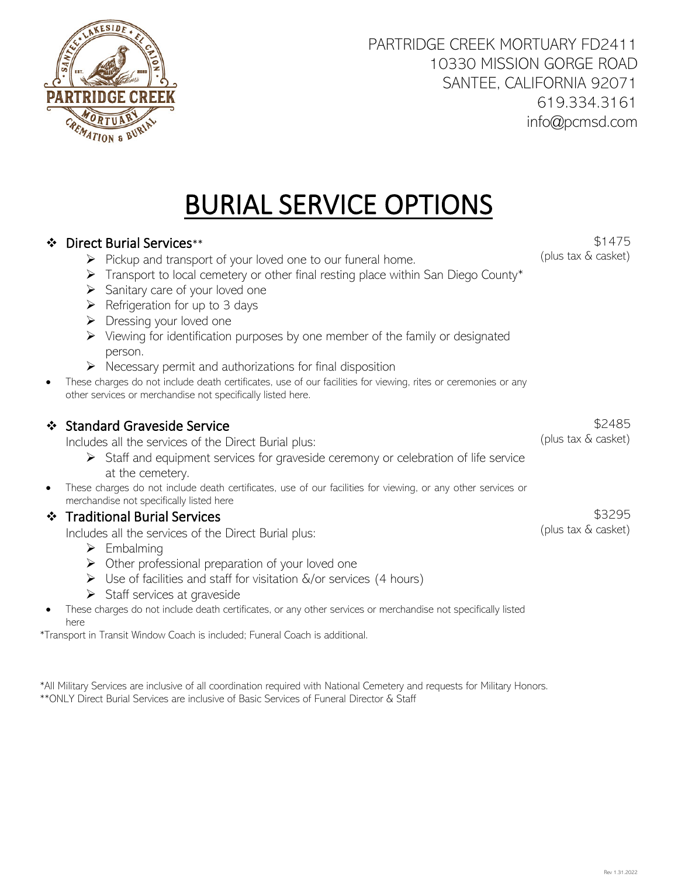# BURIAL SERVICE OPTIONS

### Direct Burial Services\*\*

- $\triangleright$  Pickup and transport of your loved one to our funeral home.
- Fransport to local cemetery or other final resting place within San Diego County\*
- $\triangleright$  Sanitary care of your loved one
- $\triangleright$  Refrigeration for up to 3 days
- $\triangleright$  Dressing your loved one
- $\triangleright$  Viewing for identification purposes by one member of the family or designated person.
- $\triangleright$  Necessary permit and authorizations for final disposition
- These charges do not include death certificates, use of our facilities for viewing, rites or ceremonies or any other services or merchandise not specifically listed here.

### ❖ Standard Graveside Service

Includes all the services of the Direct Burial plus:

- $\triangleright$  Staff and equipment services for graveside ceremony or celebration of life service at the cemetery.
- These charges do not include death certificates, use of our facilities for viewing, or any other services or merchandise not specifically listed here

### Traditional Burial Services

Includes all the services of the Direct Burial plus:

- $\triangleright$  Embalming
- $\triangleright$  Other professional preparation of your loved one
- $\triangleright$  Use of facilities and staff for visitation  $\&$ /or services (4 hours)
- $\triangleright$  Staff services at graveside
- These charges do not include death certificates, or any other services or merchandise not specifically listed here

\*Transport in Transit Window Coach is included; Funeral Coach is additional.

\*All Military Services are inclusive of all coordination required with National Cemetery and requests for Military Honors. \*\*ONLY Direct Burial Services are inclusive of Basic Services of Funeral Director & Staff

\$1475 (plus tax & casket)

\$2485 (plus tax & casket)

\$3295 (plus tax & casket)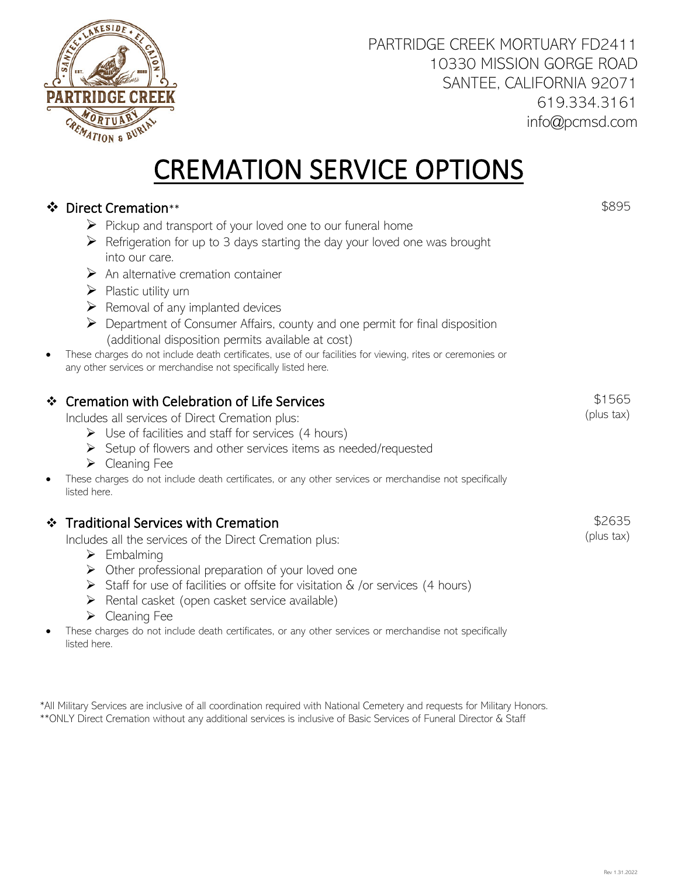

### CREMATION SERVICE OPTIONS

### ❖ Direct Cremation \*\*

- $\triangleright$  Pickup and transport of your loved one to our funeral home
- $\triangleright$  Refrigeration for up to 3 days starting the day your loved one was brought into our care.
- $\triangleright$  An alternative cremation container
- $\triangleright$  Plastic utility urn
- $\triangleright$  Removal of any implanted devices
- $\triangleright$  Department of Consumer Affairs, county and one permit for final disposition (additional disposition permits available at cost)
- These charges do not include death certificates, use of our facilities for viewing, rites or ceremonies or any other services or merchandise not specifically listed here.

### Cremation with Celebration of Life Services

Includes all services of Direct Cremation plus:

- $\triangleright$  Use of facilities and staff for services (4 hours)
- $\triangleright$  Setup of flowers and other services items as needed/requested
- $\triangleright$  Cleaning Fee
- These charges do not include death certificates, or any other services or merchandise not specifically listed here.

### ❖ Traditional Services with Cremation

Includes all the services of the Direct Cremation plus:

- $\triangleright$  Embalming
- $\triangleright$  Other professional preparation of your loved one
- Staff for use of facilities or offsite for visitation  $\&$  /or services (4 hours)
- $\triangleright$  Rental casket (open casket service available)
- $\triangleright$  Cleaning Fee
- These charges do not include death certificates, or any other services or merchandise not specifically listed here.

\*All Military Services are inclusive of all coordination required with National Cemetery and requests for Military Honors. \*\*ONLY Direct Cremation without any additional services is inclusive of Basic Services of Funeral Director & Staff

\$895

\$1565 (plus tax)

\$2635 (plus tax)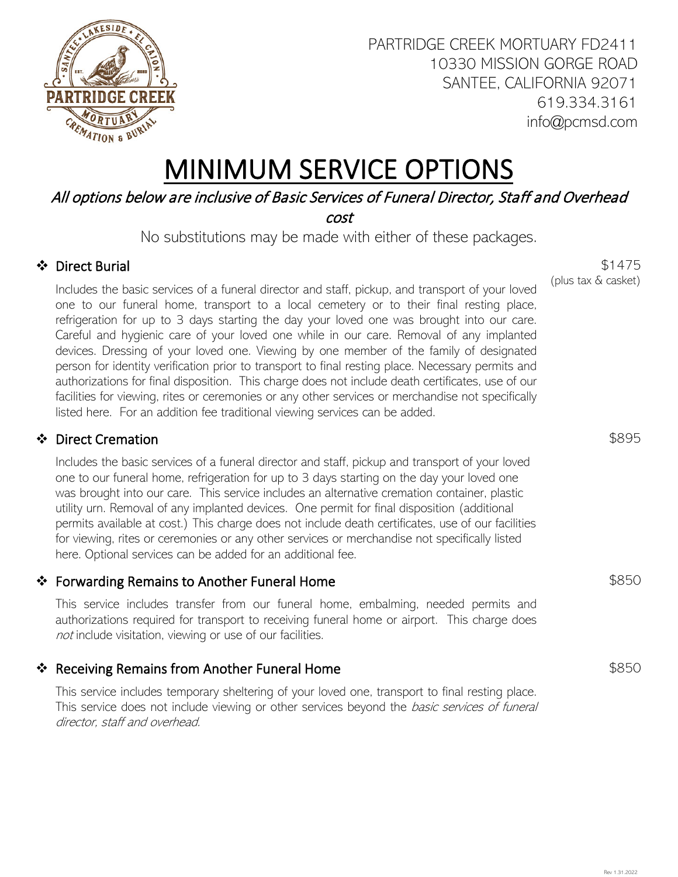

### MINIMUM SERVICE OPTIONS

### All options below are inclusive of Basic Services of Funeral Director, Staff and Overhead

cost

No substitutions may be made with either of these packages.

### Direct Burial

Includes the basic services of a funeral director and staff, pickup, and transport of your loved one to our funeral home, transport to a local cemetery or to their final resting place, refrigeration for up to 3 days starting the day your loved one was brought into our care. Careful and hygienic care of your loved one while in our care. Removal of any implanted devices. Dressing of your loved one. Viewing by one member of the family of designated person for identity verification prior to transport to final resting place. Necessary permits and authorizations for final disposition. This charge does not include death certificates, use of our facilities for viewing, rites or ceremonies or any other services or merchandise not specifically listed here. For an addition fee traditional viewing services can be added.

### ❖ Direct Cremation

Includes the basic services of a funeral director and staff, pickup and transport of your loved one to our funeral home, refrigeration for up to 3 days starting on the day your loved one was brought into our care. This service includes an alternative cremation container, plastic utility urn. Removal of any implanted devices. One permit for final disposition (additional permits available at cost.) This charge does not include death certificates, use of our facilities for viewing, rites or ceremonies or any other services or merchandise not specifically listed here. Optional services can be added for an additional fee.

### ❖ Forwarding Remains to Another Funeral Home

This service includes transfer from our funeral home, embalming, needed permits and authorizations required for transport to receiving funeral home or airport. This charge does not include visitation, viewing or use of our facilities.

### ❖ Receiving Remains from Another Funeral Home

This service includes temporary sheltering of your loved one, transport to final resting place. This service does not include viewing or other services beyond the *basic services of funeral* director, staff and overhead.

\$1475 (plus tax & casket)

\$895

\$850

Rev 1.31.2022